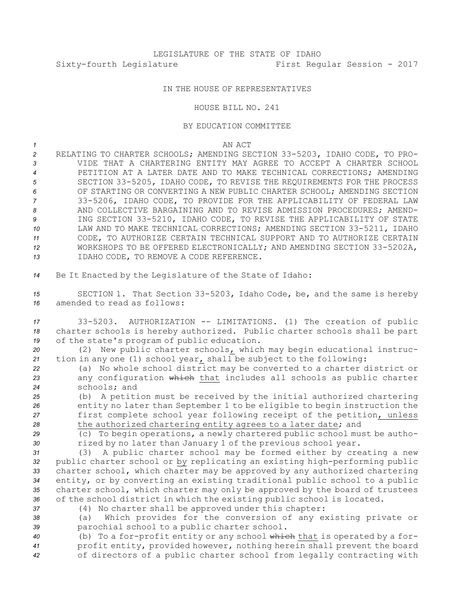## IN THE HOUSE OF REPRESENTATIVES

HOUSE BILL NO. 241

## BY EDUCATION COMMITTEE

*1* AN ACT

- *<sup>2</sup>* RELATING TO CHARTER SCHOOLS; AMENDING SECTION 33-5203, IDAHO CODE, TO PRO-*3* VIDE THAT A CHARTERING ENTITY MAY AGREE TO ACCEPT A CHARTER SCHOOL *4* PETITION AT A LATER DATE AND TO MAKE TECHNICAL CORRECTIONS; AMENDING *<sup>5</sup>* SECTION 33-5205, IDAHO CODE, TO REVISE THE REQUIREMENTS FOR THE PROCESS *6* OF STARTING OR CONVERTING A NEW PUBLIC CHARTER SCHOOL; AMENDING SECTION *<sup>7</sup>* 33-5206, IDAHO CODE, TO PROVIDE FOR THE APPLICABILITY OF FEDERAL LAW *8* AND COLLECTIVE BARGAINING AND TO REVISE ADMISSION PROCEDURES; AMEND-*<sup>9</sup>* ING SECTION 33-5210, IDAHO CODE, TO REVISE THE APPLICABILITY OF STATE *<sup>10</sup>* LAW AND TO MAKE TECHNICAL CORRECTIONS; AMENDING SECTION 33-5211, IDAHO *11* CODE, TO AUTHORIZE CERTAIN TECHNICAL SUPPORT AND TO AUTHORIZE CERTAIN *<sup>12</sup>* WORKSHOPS TO BE OFFERED ELECTRONICALLY; AND AMENDING SECTION 33-5202A, *13* IDAHO CODE, TO REMOVE A CODE REFERENCE.
- *<sup>14</sup>* Be It Enacted by the Legislature of the State of Idaho:

*<sup>15</sup>* SECTION 1. That Section 33-5203, Idaho Code, be, and the same is hereby *16* amended to read as follows:

*<sup>17</sup>* 33-5203. AUTHORIZATION -- LIMITATIONS. (1) The creation of public *<sup>18</sup>* charter schools is hereby authorized. Public charter schools shall be part *<sup>19</sup>* of the state's program of public education.

*<sup>20</sup>* (2) New public charter schools, which may begin educational instruc-*<sup>21</sup>* tion in any one (1) school year, shall be subject to the following:

*<sup>22</sup>* (a) No whole school district may be converted to <sup>a</sup> charter district or *<sup>23</sup>* any configuration which that includes all schools as public charter *24* schools; and

 (b) <sup>A</sup> petition must be received by the initial authorized chartering entity no later than September 1 to be eligible to begin instruction the first complete school year following receipt of the petition, unless the authorized chartering entity agrees to <sup>a</sup> later date; and

*<sup>29</sup>* (c) To begin operations, <sup>a</sup> newly chartered public school must be autho-*<sup>30</sup>* rized by no later than January 1 of the previous school year.

 (3) <sup>A</sup> public charter school may be formed either by creating <sup>a</sup> new public charter school or by replicating an existing high-performing public charter school, which charter may be approved by any authorized chartering entity, or by converting an existing traditional public school to <sup>a</sup> public charter school, which charter may only be approved by the board of trustees of the school district in which the existing public school is located.

*<sup>37</sup>* (4) No charter shall be approved under this chapter:

*<sup>38</sup>* (a) Which provides for the conversion of any existing private or *<sup>39</sup>* parochial school to <sup>a</sup> public charter school.

*<sup>40</sup>* (b) To <sup>a</sup> for-profit entity or any school which that is operated by <sup>a</sup> for-*<sup>41</sup>* profit entity, provided however, nothing herein shall prevent the board *<sup>42</sup>* of directors of <sup>a</sup> public charter school from legally contracting with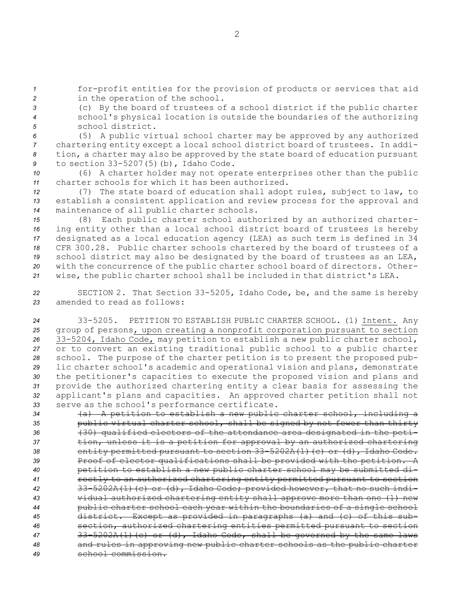1 **1** for-profit entities for the provision of products or services that aid *<sup>2</sup>* in the operation of the school.

*<sup>3</sup>* (c) By the board of trustees of <sup>a</sup> school district if the public charter *<sup>4</sup>* school's physical location is outside the boundaries of the authorizing *5* school district.

 (5) <sup>A</sup> public virtual school charter may be approved by any authorized chartering entity except <sup>a</sup> local school district board of trustees. In addi- tion, <sup>a</sup> charter may also be approved by the state board of education pursuant to section 33-5207(5)(b), Idaho Code.

*<sup>10</sup>* (6) <sup>A</sup> charter holder may not operate enterprises other than the public *11* charter schools for which it has been authorized.

*<sup>12</sup>* (7) The state board of education shall adopt rules, subject to law, to *<sup>13</sup>* establish <sup>a</sup> consistent application and review process for the approval and *<sup>14</sup>* maintenance of all public charter schools.

 (8) Each public charter school authorized by an authorized charter- ing entity other than <sup>a</sup> local school district board of trustees is hereby designated as <sup>a</sup> local education agency (LEA) as such term is defined in 34 CFR 300.28. Public charter schools chartered by the board of trustees of <sup>a</sup> school district may also be designated by the board of trustees as an LEA, with the concurrence of the public charter school board of directors. Other-wise, the public charter school shall be included in that district's LEA.

*<sup>22</sup>* SECTION 2. That Section 33-5205, Idaho Code, be, and the same is hereby *23* amended to read as follows:

 33-5205. PETITION TO ESTABLISH PUBLIC CHARTER SCHOOL. (1) Intent. Any group of persons, upon creating <sup>a</sup> nonprofit corporation pursuant to section 33-5204, Idaho Code, may petition to establish <sup>a</sup> new public charter school, or to convert an existing traditional public school to <sup>a</sup> public charter school. The purpose of the charter petition is to present the proposed pub- lic charter school's academic and operational vision and plans, demonstrate the petitioner's capacities to execute the proposed vision and plans and provide the authorized chartering entity <sup>a</sup> clear basis for assessing the applicant's plans and capacities. An approved charter petition shall not serve as the school's performance certificate.

 (a) <sup>A</sup> petition to establish <sup>a</sup> new public charter school, including <sup>a</sup> public virtual charter school, shall be signed by not fewer than thirty (30) qualified electors of the attendance area designated in the peti- tion, unless it is <sup>a</sup> petition for approval by an authorized chartering entity permitted pursuant to section 33-5202A(1)(c) or (d), Idaho Code. 39 Proof of elector qualifications shall be provided with the petition. A petition to establish <sup>a</sup> new public charter school may be submitted di- rectly to an authorized chartering entity permitted pursuant to section 33-5202A(1)(c) or (d), Idaho Code; provided however, that no such indi- vidual authorized chartering entity shall approve more than one (1) new public charter school each year within the boundaries of <sup>a</sup> single school district. Except as provided in paragraphs (a) and (c) of this sub- section, authorized chartering entities permitted pursuant to section 33-5202A(1)(c) or (d), Idaho Code, shall be governed by the same laws and rules in approving new public charter schools as the public charter school commission.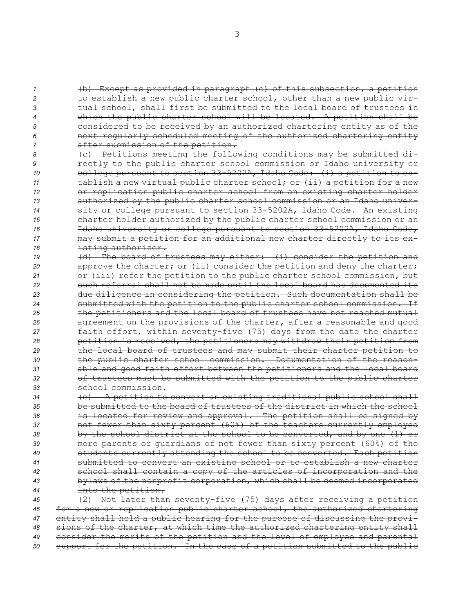(b) Except as provided in paragraph (c) of this subsection, <sup>a</sup> petition to establish <sup>a</sup> new public charter school, other than <sup>a</sup> new public vir- tual school, shall first be submitted to the local board of trustees in which the public charter school will be located. <sup>A</sup> petition shall be considered to be received by an authorized chartering entity as of the next regularly scheduled meeting of the authorized chartering entity after submission of the petition.

 (c) Petitions meeting the following conditions may be submitted di- rectly to the public charter school commission or Idaho university or college pursuant to section 33-5202A, Idaho Code: (i) <sup>a</sup> petition to es- tablish <sup>a</sup> new virtual public charter school; or (ii) <sup>a</sup> petition for <sup>a</sup> new or replication public charter school from an existing charter holder authorized by the public charter school commission or an Idaho univer- sity or college pursuant to section 33-5202A, Idaho Code. An existing charter holder authorized by the public charter school commission or an Idaho university or college pursuant to section 33-5202A, Idaho Code, may submit <sup>a</sup> petition for an additional new charter directly to its ex-isting authorizer.

 (d) The board of trustees may either: (i) consider the petition and 20 approve the charter; or (ii) consider the petition and deny the charter; or (iii) refer the petition to the public charter school commission, but such referral shall not be made until the local board has documented its due diligence in considering the petition. Such documentation shall be submitted with the petition to the public charter school commission. If the petitioners and the local board of trustees have not reached mutual agreement on the provisions of the charter, after <sup>a</sup> reasonable and good faith effort, within seventy-five (75) days from the date the charter petition is received, the petitioners may withdraw their petition from the local board of trustees and may submit their charter petition to the public charter school commission. Documentation of the reason- able and good faith effort between the petitioners and the local board of trustees must be submitted with the petition to the public charter school commission.

 (e) <sup>A</sup> petition to convert an existing traditional public school shall be submitted to the board of trustees of the district in which the school is located for review and approval. The petition shall be signed by not fewer than sixty percent (60%) of the teachers currently employed by the school district at the school to be converted, and by one (1) or more parents or guardians of not fewer than sixty percent (60%) of the students currently attending the school to be converted. Each petition submitted to convert an existing school or to establish <sup>a</sup> new charter school shall contain <sup>a</sup> copy of the articles of incorporation and the bylaws of the nonprofit corporation, which shall be deemed incorporated into the petition.

 (2) Not later than seventy-five (75) days after receiving <sup>a</sup> petition for <sup>a</sup> new or replication public charter school, the authorized chartering entity shall hold <sup>a</sup> public hearing for the purpose of discussing the provi- sions of the charter, at which time the authorized chartering entity shall consider the merits of the petition and the level of employee and parental support for the petition. In the case of <sup>a</sup> petition submitted to the public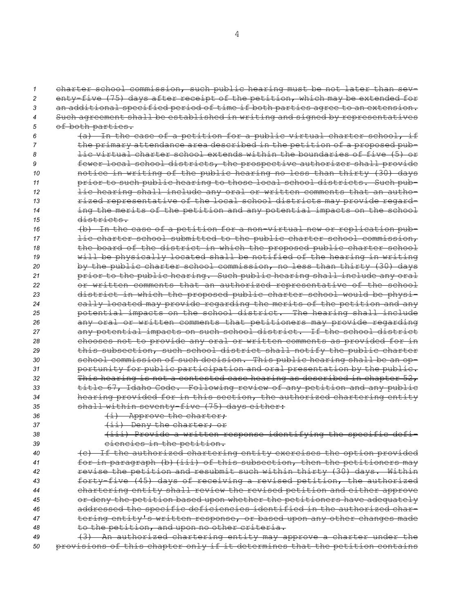charter school commission, such public hearing must be not later than sev- enty-five (75) days after receipt of the petition, which may be extended for an additional specified period of time if both parties agree to an extension. Such agreement shall be established in writing and signed by representatives of both parties.

- *<sup>6</sup>* (a) In the case of <sup>a</sup> petition for <sup>a</sup> public virtual charter school, if *<sup>7</sup>* the primary attendance area described in the petition of <sup>a</sup> proposed pub-*8* lic virtual charter school extends within the boundaries of five (5) or *<sup>9</sup>* fewer local school districts, the prospective authorizer shall provide *<sup>10</sup>* notice in writing of the public hearing no less than thirty (30) days *<sup>11</sup>* prior to such public hearing to those local school districts. Such pub-*<sup>12</sup>* lic hearing shall include any oral or written comments that an autho-13 **13 rized representative of the local school districts may provide regard-***<sup>14</sup>* ing the merits of the petition and any potential impacts on the school *15* districts.
- *<sup>16</sup>* (b) In the case of <sup>a</sup> petition for <sup>a</sup> non-virtual new or replication pub-17 **lic charter school submitted to the public charter school commission,** *<sup>18</sup>* the board of the district in which the proposed public charter school *<sup>19</sup>* will be physically located shall be notified of the hearing in writing *<sup>20</sup>* by the public charter school commission, no less than thirty (30) days *<sup>21</sup>* prior to the public hearing. Such public hearing shall include any oral *<sup>22</sup>* or written comments that an authorized representative of the school *<sup>23</sup>* district in which the proposed public charter school would be physi-*<sup>24</sup>* cally located may provide regarding the merits of the petition and any *<sup>25</sup>* potential impacts on the school district. The hearing shall include *<sup>26</sup>* any oral or written comments that petitioners may provide regarding *<sup>27</sup>* any potential impacts on such school district. If the school district *<sup>28</sup>* chooses not to provide any oral or written comments as provided for in *<sup>29</sup>* this subsection, such school district shall notify the public charter *<sup>30</sup>* school commission of such decision. This public hearing shall be an op-*<sup>31</sup>* portunity for public participation and oral presentation by the public. *<sup>32</sup>* This hearing is not <sup>a</sup> contested case hearing as described in chapter 52, *<sup>33</sup>* title 67, Idaho Code. Following review of any petition and any public *<sup>34</sup>* hearing provided for in this section, the authorized chartering entity *<sup>35</sup>* shall within seventy-five (75) days either:

36 **(i)** Approve the charter; 37 (ii) Deny the charter; or

*<sup>38</sup>* (iii) Provide <sup>a</sup> written response identifying the specific defi-39 ciencies in the petition.

 (c) If the authorized chartering entity exercises the option provided for in paragraph (b)(iii) of this subsection, then the petitioners may revise the petition and resubmit such within thirty (30) days. Within forty-five (45) days of receiving <sup>a</sup> revised petition, the authorized chartering entity shall review the revised petition and either approve or deny the petition based upon whether the petitioners have adequately addressed the specific deficiencies identified in the authorized char- tering entity's written response, or based upon any other changes made to the petition, and upon no other criteria.

*<sup>49</sup>* (3) An authorized chartering entity may approve <sup>a</sup> charter under the *<sup>50</sup>* provisions of this chapter only if it determines that the petition contains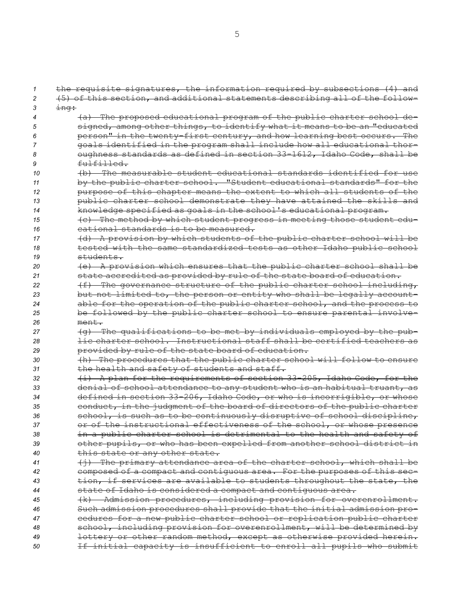the requisite signatures, the information required by subsections (4) and (5) of this section, and additional statements describing all of the follow-*<sup>3</sup>* ing: (a) The proposed educational program of the public charter school de- signed, among other things, to identify what it means to be an "educated person" in the twenty-first century, and how learning best occurs. The goals identified in the program shall include how all educational thor- oughness standards as defined in section 33-1612, Idaho Code, shall be fulfilled. (b) The measurable student educational standards identified for use by the public charter school. "Student educational standards" for the purpose of this chapter means the extent to which all students of the public charter school demonstrate they have attained the skills and knowledge specified as goals in the school's educational program. (c) The method by which student progress in meeting those student edu- cational standards is to be measured. (d) <sup>A</sup> provision by which students of the public charter school will be tested with the same standardized tests as other Idaho public school students. (e) <sup>A</sup> provision which ensures that the public charter school shall be state accredited as provided by rule of the state board of education. **12** (f) The governance structure of the public charter school including, but not limited to, the person or entity who shall be legally account- able for the operation of the public charter school, and the process to be followed by the public charter school to ensure parental involve-*26* ment. (g) The qualifications to be met by individuals employed by the pub- lic charter school. Instructional staff shall be certified teachers as provided by rule of the state board of education. (h) The procedures that the public charter school will follow to ensure the health and safety of students and staff. (i) <sup>A</sup> plan for the requirements of section 33-205, Idaho Code, for the denial of school attendance to any student who is an habitual truant, as defined in section 33-206, Idaho Code, or who is incorrigible, or whose conduct, in the judgment of the board of directors of the public charter **school, is such as to be continuously disruptive of school discipline,**  or of the instructional effectiveness of the school, or whose presence in <sup>a</sup> public charter school is detrimental to the health and safety of other pupils, or who has been expelled from another school district in this state or any other state. (j) The primary attendance area of the charter school, which shall be composed of <sup>a</sup> compact and contiguous area. For the purposes of this sec- tion, if services are available to students throughout the state, the state of Idaho is considered <sup>a</sup> compact and contiguous area. (k) Admission procedures, including provision for overenrollment. Such admission procedures shall provide that the initial admission pro- cedures for <sup>a</sup> new public charter school or replication public charter school, including provision for overenrollment, will be determined by lottery or other random method, except as otherwise provided herein. If initial capacity is insufficient to enroll all pupils who submit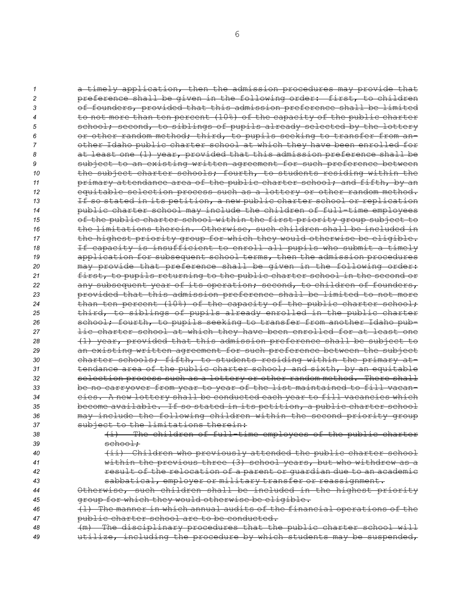<sup>a</sup> timely application, then the admission procedures may provide that preference shall be given in the following order: first, to children of founders, provided that this admission preference shall be limited to not more than ten percent (10%) of the capacity of the public charter **5** school; second, to siblings of pupils already selected by the lottery or other random method; third, to pupils seeking to transfer from an- other Idaho public charter school at which they have been enrolled for at least one (1) year, provided that this admission preference shall be subject to an existing written agreement for such preference between **the subject charter schools; fourth, to students residing within the primary attendance area of the public charter school; and fifth, by an**  equitable selection process such as <sup>a</sup> lottery or other random method. If so stated in its petition, <sup>a</sup> new public charter school or replication public charter school may include the children of full-time employees of the public charter school within the first priority group subject to the limitations therein. Otherwise, such children shall be included in the highest priority group for which they would otherwise be eligible. 18 18 If capacity is insufficient to enroll all pupils who submit a timely application for subsequent school terms, then the admission procedures may provide that preference shall be given in the following order: first, to pupils returning to the public charter school in the second or any subsequent year of its operation; second, to children of founders, provided that this admission preference shall be limited to not more than ten percent (10%) of the capacity of the public charter school; third, to siblings of pupils already enrolled in the public charter school; fourth, to pupils seeking to transfer from another Idaho pub- lic charter school at which they have been enrolled for at least one (1) year, provided that this admission preference shall be subject to an existing written agreement for such preference between the subject charter schools; fifth, to students residing within the primary at- tendance area of the public charter school; and sixth, by an equitable selection process such as <sup>a</sup> lottery or other random method. There shall be no carryover from year to year of the list maintained to fill vacan- cies. <sup>A</sup> new lottery shall be conducted each year to fill vacancies which become available. If so stated in its petition, <sup>a</sup> public charter school may include the following children within the second priority group subject to the limitations therein: (i) The children of full-time employees of the public charter 39 school; (ii) Children who previously attended the public charter school within the previous three (3) school years, but who withdrew as <sup>a</sup> result of the relocation of <sup>a</sup> parent or guardian due to an academic

*<sup>43</sup>* sabbatical, employer or military transfer or reassignment.

*<sup>44</sup>* Otherwise, such children shall be included in the highest priority *<sup>45</sup>* group for which they would otherwise be eligible.

*<sup>46</sup>* (l) The manner in which annual audits of the financial operations of the *<sup>47</sup>* public charter school are to be conducted.

*<sup>48</sup>* (m) The disciplinary procedures that the public charter school will *<sup>49</sup>* utilize, including the procedure by which students may be suspended,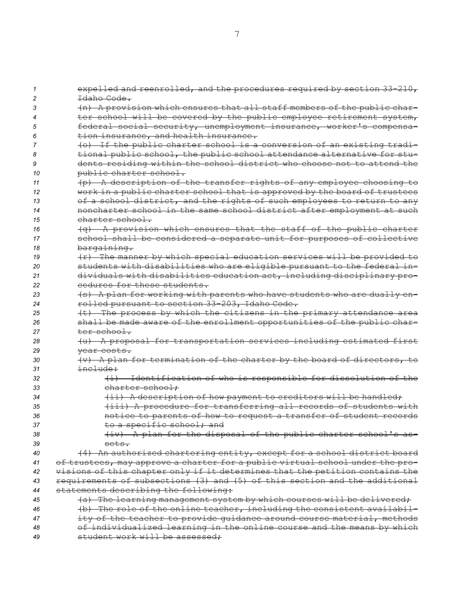| 1  | expelled and reenrolled, and the procedures required by section 33-210,       |
|----|-------------------------------------------------------------------------------|
| 2  | Idaho Code.                                                                   |
| 3  | (n) A provision which ensures that all staff members of the public char-      |
| 4  | ter school will be covered by the public employee retirement system,          |
| 5  | federal social security, unemployment insurance, worker's compensa-           |
| 6  | tion insurance, and health insurance.                                         |
| 7  | (o) If the public charter school is a conversion of an existing tradi-        |
| 8  | tional public school, the public school attendance alternative for stu-       |
| 9  | dents residing within the school district who choose not to attend the        |
| 10 | public charter school.                                                        |
| 11 | (p) A description of the transfer rights of any employee choosing to          |
| 12 | work in a public charter school that is approved by the board of trustees     |
| 13 | of a school district, and the rights of such employees to return to any       |
| 14 | noncharter school in the same school district after employment at such        |
| 15 | charter school.                                                               |
| 16 | $(q)$ A provision which ensures that the staff of the public charter          |
| 17 | school shall be considered a separate unit for purposes of collective         |
| 18 | bargaining.                                                                   |
| 19 | (r) The manner by which special education services will be provided to        |
| 20 | students with disabilities who are eligible pursuant to the federal in-       |
| 21 | dividuals with disabilities education act, including disciplinary pro-        |
| 22 | cedures for these students.                                                   |
| 23 | (s) A plan for working with parents who have students who are dually en-      |
| 24 | rolled pursuant to section 33-203, Idaho Code.                                |
| 25 | (t) The process by which the citizens in the primary attendance area          |
| 26 | shall be made aware of the enrollment opportunities of the public char-       |
| 27 | ter school.                                                                   |
| 28 | (u) A proposal for transportation services including estimated first          |
| 29 | year costs.                                                                   |
| 30 | (v) A plan for termination of the charter by the board of directors, to       |
| 31 | <del>include:</del>                                                           |
| 32 | (i) Identification of who is responsible for dissolution of the               |
| 33 | charter school:                                                               |
| 34 | (ii) A description of how payment to creditors will be handled;               |
| 35 | (iii) A procedure for transferring all records of students with               |
| 36 | notice to parents of how to request a transfer of student records             |
| 37 | to a specific school; and                                                     |
| 38 | (iv) A plan for the disposal of the public charter school's as-               |
| 39 | sets.                                                                         |
| 40 | (4) An authorized chartering entity, except for a school district board       |
| 41 | of trustees, may approve a charter for a public virtual school under the pro- |
| 42 | visions of this chapter only if it determines that the petition contains the  |
| 43 | requirements of subsections (3) and (5) of this section and the additional    |
| 44 | statements describing the following:                                          |
| 45 | (a) The learning management system by which courses will be delivered;        |
| 46 | (b) The role of the online teacher, including the consistent availabil-       |
| 47 | ity of the teacher to provide quidance around course material, methods        |
| 48 | of individualized learning in the online course and the means by which        |
| 49 | student work will be assessed;                                                |
|    |                                                                               |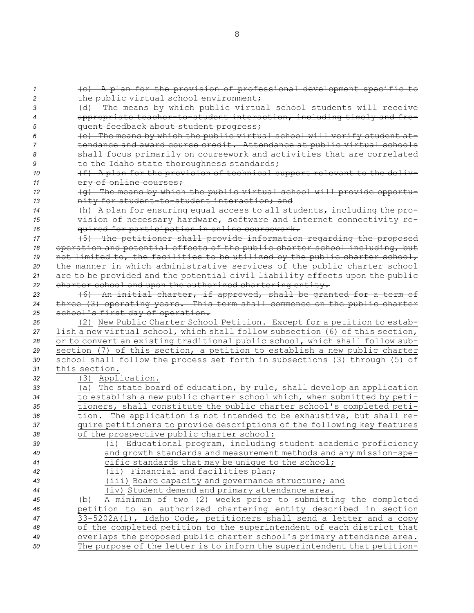| 1              | (c) A plan for the provision of professional development specific to          |
|----------------|-------------------------------------------------------------------------------|
| $\overline{c}$ | the public virtual school environment;                                        |
| 3              | (d) The means by which public virtual school students will receive            |
| 4              | appropriate teacher-to-student interaction, including timely and fre-         |
| 5              | quent feedback about student progress;                                        |
| 6              | (e) The means by which the public virtual school will verify student at-      |
| 7              | tendance and award course credit. Attendance at public virtual schools        |
| 8              | shall focus primarily on coursework and activities that are correlated        |
| 9              | to the Idaho state thoroughness standards;                                    |
| 10             | (f) A plan for the provision of technical support relevant to the deliv-      |
| 11             | ery of online courses;                                                        |
| 12             | (g) The means by which the public virtual school will provide opportu-        |
| 13             | nity for student-to-student interaction; and                                  |
| 14             | (h) A plan for ensuring equal access to all students, including the pro-      |
| 15             | vision of necessary hardware, software and internet connectivity re-          |
| 16             | quired for participation in online coursework.                                |
| 17             | (5) The petitioner shall provide information regarding the proposed           |
| 18             | operation and potential effects of the public charter school including, but   |
| 19             | not limited to, the facilities to be utilized by the public charter school,   |
| 20             | the manner in which administrative services of the public charter school      |
| 21             | are to be provided and the potential civil liability effects upon the public  |
| 22             | charter school and upon the authorized chartering entity.                     |
| 23             | (6) An initial charter, if approved, shall be granted for a term of           |
| 24             | three (3) operating years. This term shall commence on the public charter     |
| 25             | school's first day of operation.                                              |
| 26             | (2) New Public Charter School Petition. Except for a petition to estab-       |
| 27             | lish a new virtual school, which shall follow subsection (6) of this section, |
| 28             | or to convert an existing traditional public school, which shall follow sub-  |
| 29             | section (7) of this section, a petition to establish a new public charter     |
| 30             | school shall follow the process set forth in subsections (3) through (5) of   |
| 31             | this section.                                                                 |
| 32             | (3) Application.                                                              |
| 33             | (a) The state board of education, by rule, shall develop an application       |
| 34             | to establish a new public charter school which, when submitted by peti-       |
| 35             | tioners, shall constitute the public charter school's completed peti-         |
| 36             | tion. The application is not intended to be exhaustive, but shall re-         |
| 37             | quire petitioners to provide descriptions of the following key features       |
| 38             | of the prospective public charter school:                                     |
| 39             | (i) Educational program, including student academic proficiency               |
| 40             | and growth standards and measurement methods and any mission-spe-             |
| 41             | cific standards that may be unique to the school;                             |
| 42             | (ii) Financial and facilities plan;                                           |
| 43             | (iii) Board capacity and governance structure; and                            |
| 44             | (iv) Student demand and primary attendance area.                              |
| 45             | A minimum of two (2) weeks prior to submitting the completed<br>(b)           |
| 46             | petition to an authorized chartering entity described in section              |
| 47             | 33-5202A(1), Idaho Code, petitioners shall send a letter and a copy           |
| 48             | of the completed petition to the superintendent of each district that         |
| 49             | overlaps the proposed public charter school's primary attendance area.        |
| 50             | The purpose of the letter is to inform the superintendent that petition-      |
|                |                                                                               |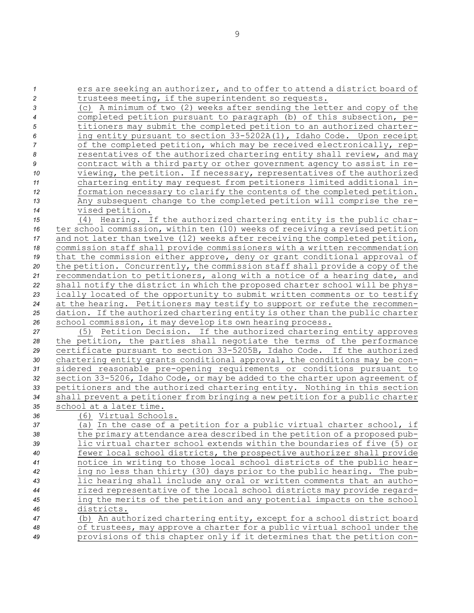| $\boldsymbol{\mathcal{I}}$ | ers are seeking an authorizer, and to offer to attend a district board of                                                                                 |
|----------------------------|-----------------------------------------------------------------------------------------------------------------------------------------------------------|
| 2                          | trustees meeting, if the superintendent so requests.                                                                                                      |
| 3                          | (c) A minimum of two (2) weeks after sending the letter and copy of the                                                                                   |
| 4                          | completed petition pursuant to paragraph (b) of this subsection, pe-                                                                                      |
| 5                          | titioners may submit the completed petition to an authorized charter-                                                                                     |
| 6                          | ing entity pursuant to section 33-5202A(1), Idaho Code. Upon receipt                                                                                      |
| $\overline{7}$             | of the completed petition, which may be received electronically, rep-                                                                                     |
| $\pmb{8}$                  | resentatives of the authorized chartering entity shall review, and may                                                                                    |
| 9                          | contract with a third party or other government agency to assist in re-                                                                                   |
| 10                         | viewing, the petition. If necessary, representatives of the authorized                                                                                    |
| 11                         | chartering entity may request from petitioners limited additional in-                                                                                     |
| 12                         | formation necessary to clarify the contents of the completed petition.                                                                                    |
| 13                         | Any subsequent change to the completed petition will comprise the re-                                                                                     |
| $14\,$                     | vised petition.                                                                                                                                           |
| 15                         | (4) Hearing. If the authorized chartering entity is the public char-                                                                                      |
| 16                         | ter school commission, within ten (10) weeks of receiving a revised petition                                                                              |
| 17                         | and not later than twelve (12) weeks after receiving the completed petition,                                                                              |
| 18                         | commission staff shall provide commissioners with a written recommendation                                                                                |
| 19                         | that the commission either approve, deny or grant conditional approval of<br>the petition. Concurrently, the commission staff shall provide a copy of the |
| 20<br>21                   | recommendation to petitioners, along with a notice of a hearing date, and                                                                                 |
| 22                         | shall notify the district in which the proposed charter school will be phys-                                                                              |
| 23                         | ically located of the opportunity to submit written comments or to testify                                                                                |
| 24                         | at the hearing. Petitioners may testify to support or refute the recommen-                                                                                |
| 25                         | dation. If the authorized chartering entity is other than the public charter                                                                              |
| 26                         | school commission, it may develop its own hearing process.                                                                                                |
| 27                         | Petition Decision. If the authorized chartering entity approves<br>(5)                                                                                    |
| 28                         | the petition, the parties shall negotiate the terms of the performance                                                                                    |
| 29                         | certificate pursuant to section 33-5205B, Idaho Code. If the authorized                                                                                   |
| $30\,$                     | chartering entity grants conditional approval, the conditions may be con-                                                                                 |
| 31                         | sidered reasonable pre-opening requirements or conditions pursuant to                                                                                     |
| 32                         | section 33-5206, Idaho Code, or may be added to the charter upon agreement of                                                                             |
| 33                         | petitioners and the authorized chartering entity. Nothing in this section                                                                                 |
| 34                         | shall prevent a petitioner from bringing a new petition for a public charter                                                                              |
| 35                         | school at a later time.                                                                                                                                   |
| 36                         | (6) Virtual Schools.                                                                                                                                      |
| 37                         | (a) In the case of a petition for a public virtual charter school, if                                                                                     |
| 38                         | the primary attendance area described in the petition of a proposed pub-                                                                                  |
| 39                         | lic virtual charter school extends within the boundaries of five (5) or                                                                                   |
| 40                         | fewer local school districts, the prospective authorizer shall provide                                                                                    |
| 41                         | notice in writing to those local school districts of the public hear-                                                                                     |
| 42                         | ing no less than thirty (30) days prior to the public hearing. The pub-                                                                                   |
| 43                         | lic hearing shall include any oral or written comments that an autho-                                                                                     |
| 44                         | rized representative of the local school districts may provide regard-                                                                                    |
| 45                         | ing the merits of the petition and any potential impacts on the school                                                                                    |
| 46                         | districts.                                                                                                                                                |
| 47                         | (b) An authorized chartering entity, except for a school district board                                                                                   |
| 48                         | of trustees, may approve a charter for a public virtual school under the                                                                                  |
| 49                         | provisions of this chapter only if it determines that the petition con-                                                                                   |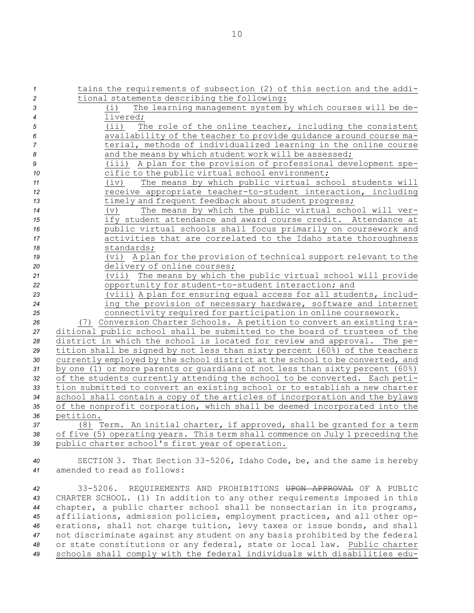tains the requirements of subsection (2) of this section and the addi- tional statements describing the following: (i) The learning management system by which courses will be de-*4* livered; (ii) The role of the online teacher, including the consistent availability of the teacher to provide guidance around course ma- terial, methods of individualized learning in the online course **and the means by which student work will be assessed;**  (iii) <sup>A</sup> plan for the provision of professional development spe- cific to the public virtual school environment; (iv) The means by which public virtual school students will receive appropriate teacher-to-student interaction, including 13 timely and frequent feedback about student progress; (v) The means by which the public virtual school will ver- ify student attendance and award course credit. Attendance at public virtual schools shall focus primarily on coursework and activities that are correlated to the Idaho state thoroughness standards; (vi) <sup>A</sup> plan for the provision of technical support relevant to the delivery of online courses; (vii) The means by which the public virtual school will provide opportunity for student-to-student interaction; and (viii) <sup>A</sup> plan for ensuring equal access for all students, includ- ing the provision of necessary hardware, software and internet connectivity required for participation in online coursework. (7) Conversion Charter Schools. <sup>A</sup> petition to convert an existing tra- ditional public school shall be submitted to the board of trustees of the district in which the school is located for review and approval. The pe- tition shall be signed by not less than sixty percent (60%) of the teachers currently employed by the school district at the school to be converted, and by one (1) or more parents or guardians of not less than sixty percent (60%) of the students currently attending the school to be converted. Each peti- tion submitted to convert an existing school or to establish <sup>a</sup> new charter school shall contain <sup>a</sup> copy of the articles of incorporation and the bylaws of the nonprofit corporation, which shall be deemed incorporated into the petition. (8) Term. An initial charter, if approved, shall be granted for <sup>a</sup> term of five (5) operating years. This term shall commence on July 1 preceding the public charter school's first year of operation.

*<sup>40</sup>* SECTION 3. That Section 33-5206, Idaho Code, be, and the same is hereby *41* amended to read as follows:

 33-5206. REQUIREMENTS AND PROHIBITIONS UPON APPROVAL OF A PUBLIC CHARTER SCHOOL. (1) In addition to any other requirements imposed in this chapter, <sup>a</sup> public charter school shall be nonsectarian in its programs, affiliations, admission policies, employment practices, and all other op- erations, shall not charge tuition, levy taxes or issue bonds, and shall not discriminate against any student on any basis prohibited by the federal or state constitutions or any federal, state or local law. Public charter schools shall comply with the federal individuals with disabilities edu-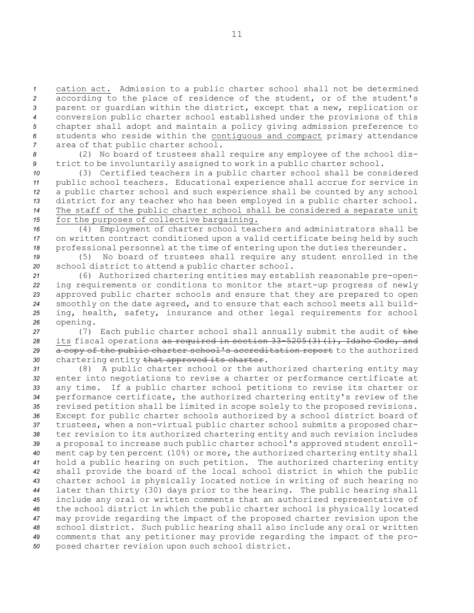cation act. Admission to <sup>a</sup> public charter school shall not be determined according to the place of residence of the student, or of the student's parent or guardian within the district, except that <sup>a</sup> new, replication or conversion public charter school established under the provisions of this chapter shall adopt and maintain <sup>a</sup> policy giving admission preference to students who reside within the contiguous and compact primary attendance area of that public charter school.

*<sup>8</sup>* (2) No board of trustees shall require any employee of the school dis-*<sup>9</sup>* trict to be involuntarily assigned to work in <sup>a</sup> public charter school.

 (3) Certified teachers in <sup>a</sup> public charter school shall be considered public school teachers. Educational experience shall accrue for service in <sup>a</sup> public charter school and such experience shall be counted by any school district for any teacher who has been employed in <sup>a</sup> public charter school. The staff of the public charter school shall be considered <sup>a</sup> separate unit for the purposes of collective bargaining.

*<sup>16</sup>* (4) Employment of charter school teachers and administrators shall be *<sup>17</sup>* on written contract conditioned upon <sup>a</sup> valid certificate being held by such *<sup>18</sup>* professional personnel at the time of entering upon the duties thereunder.

*<sup>19</sup>* (5) No board of trustees shall require any student enrolled in the *<sup>20</sup>* school district to attend <sup>a</sup> public charter school.

 (6) Authorized chartering entities may establish reasonable pre-open- ing requirements or conditions to monitor the start-up progress of newly approved public charter schools and ensure that they are prepared to open smoothly on the date agreed, and to ensure that each school meets all build- ing, health, safety, insurance and other legal requirements for school *<sup>26</sup>* opening.

 (7) Each public charter school shall annually submit the audit of the its fiscal operations as required in section 33-5205(3)(l), Idaho Code, and 29 a copy of the public charter school's accreditation report to the authorized chartering entity that approved its charter.

 (8) <sup>A</sup> public charter school or the authorized chartering entity may enter into negotiations to revise <sup>a</sup> charter or performance certificate at any time. If <sup>a</sup> public charter school petitions to revise its charter or performance certificate, the authorized chartering entity's review of the revised petition shall be limited in scope solely to the proposed revisions. Except for public charter schools authorized by <sup>a</sup> school district board of trustees, when <sup>a</sup> non-virtual public charter school submits <sup>a</sup> proposed char- ter revision to its authorized chartering entity and such revision includes <sup>a</sup> proposal to increase such public charter school's approved student enroll- ment cap by ten percent (10%) or more, the authorized chartering entity shall hold <sup>a</sup> public hearing on such petition. The authorized chartering entity shall provide the board of the local school district in which the public charter school is physically located notice in writing of such hearing no later than thirty (30) days prior to the hearing. The public hearing shall include any oral or written comments that an authorized representative of the school district in which the public charter school is physically located may provide regarding the impact of the proposed charter revision upon the school district. Such public hearing shall also include any oral or written comments that any petitioner may provide regarding the impact of the pro-posed charter revision upon such school district.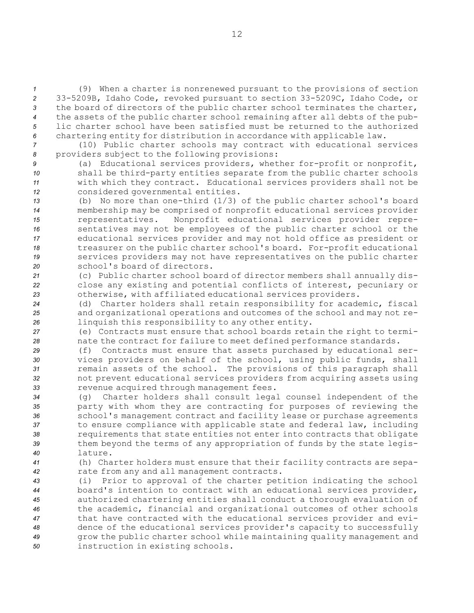(9) When <sup>a</sup> charter is nonrenewed pursuant to the provisions of section 33-5209B, Idaho Code, revoked pursuant to section 33-5209C, Idaho Code, or the board of directors of the public charter school terminates the charter, the assets of the public charter school remaining after all debts of the pub- lic charter school have been satisfied must be returned to the authorized chartering entity for distribution in accordance with applicable law.

- *<sup>7</sup>* (10) Public charter schools may contract with educational services *<sup>8</sup>* providers subject to the following provisions:
- *<sup>9</sup>* (a) Educational services providers, whether for-profit or nonprofit, *<sup>10</sup>* shall be third-party entities separate from the public charter schools *<sup>11</sup>* with which they contract. Educational services providers shall not be *<sup>12</sup>* considered governmental entities.
- *<sup>13</sup>* (b) No more than one-third (1/3) of the public charter school's board *<sup>14</sup>* membership may be comprised of nonprofit educational services provider *<sup>15</sup>* representatives. Nonprofit educational services provider repre-*<sup>16</sup>* sentatives may not be employees of the public charter school or the *<sup>17</sup>* educational services provider and may not hold office as president or *<sup>18</sup>* treasurer on the public charter school's board. For-profit educational *<sup>19</sup>* services providers may not have representatives on the public charter *20* school's board of directors.
- *<sup>21</sup>* (c) Public charter school board of director members shall annually dis-*<sup>22</sup>* close any existing and potential conflicts of interest, pecuniary or *<sup>23</sup>* otherwise, with affiliated educational services providers.
- *<sup>24</sup>* (d) Charter holders shall retain responsibility for academic, fiscal *<sup>25</sup>* and organizational operations and outcomes of the school and may not re-*<sup>26</sup>* linquish this responsibility to any other entity.
- *<sup>27</sup>* (e) Contracts must ensure that school boards retain the right to termi-*<sup>28</sup>* nate the contract for failure to meet defined performance standards.
- *<sup>29</sup>* (f) Contracts must ensure that assets purchased by educational ser-*<sup>30</sup>* vices providers on behalf of the school, using public funds, shall *<sup>31</sup>* remain assets of the school. The provisions of this paragraph shall *<sup>32</sup>* not prevent educational services providers from acquiring assets using *<sup>33</sup>* revenue acquired through management fees.
- *<sup>34</sup>* (g) Charter holders shall consult legal counsel independent of the *<sup>35</sup>* party with whom they are contracting for purposes of reviewing the *<sup>36</sup>* school's management contract and facility lease or purchase agreements *<sup>37</sup>* to ensure compliance with applicable state and federal law, including *<sup>38</sup>* requirements that state entities not enter into contracts that obligate *<sup>39</sup>* them beyond the terms of any appropriation of funds by the state legis-*40* lature.
- *<sup>41</sup>* (h) Charter holders must ensure that their facility contracts are sepa-*<sup>42</sup>* rate from any and all management contracts.
- *<sup>43</sup>* (i) Prior to approval of the charter petition indicating the school *<sup>44</sup>* board's intention to contract with an educational services provider, *<sup>45</sup>* authorized chartering entities shall conduct <sup>a</sup> thorough evaluation of *<sup>46</sup>* the academic, financial and organizational outcomes of other schools *<sup>47</sup>* that have contracted with the educational services provider and evi-*<sup>48</sup>* dence of the educational services provider's capacity to successfully *<sup>49</sup>* grow the public charter school while maintaining quality management and *<sup>50</sup>* instruction in existing schools.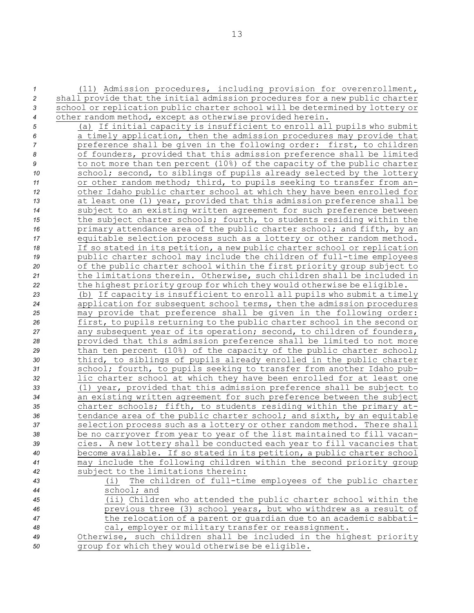(11) Admission procedures, including provision for overenrollment, shall provide that the initial admission procedures for <sup>a</sup> new public charter school or replication public charter school will be determined by lottery or other random method, except as otherwise provided herein. (a) If initial capacity is insufficient to enroll all pupils who submit <sup>a</sup> timely application, then the admission procedures may provide that preference shall be given in the following order: first, to children of founders, provided that this admission preference shall be limited to not more than ten percent (10%) of the capacity of the public charter 10 school; second, to siblings of pupils already selected by the lottery or other random method; third, to pupils seeking to transfer from an- other Idaho public charter school at which they have been enrolled for at least one (1) year, provided that this admission preference shall be subject to an existing written agreement for such preference between the subject charter schools; fourth, to students residing within the **primary attendance area of the public charter school; and fifth, by an**  equitable selection process such as <sup>a</sup> lottery or other random method. If so stated in its petition, <sup>a</sup> new public charter school or replication public charter school may include the children of full-time employees of the public charter school within the first priority group subject to the limitations therein. Otherwise, such children shall be included in the highest priority group for which they would otherwise be eligible. (b) If capacity is insufficient to enroll all pupils who submit <sup>a</sup> timely application for subsequent school terms, then the admission procedures may provide that preference shall be given in the following order: first, to pupils returning to the public charter school in the second or any subsequent year of its operation; second, to children of founders, provided that this admission preference shall be limited to not more than ten percent (10%) of the capacity of the public charter school; third, to siblings of pupils already enrolled in the public charter school; fourth, to pupils seeking to transfer from another Idaho pub- lic charter school at which they have been enrolled for at least one (1) year, provided that this admission preference shall be subject to an existing written agreement for such preference between the subject charter schools; fifth, to students residing within the primary at- tendance area of the public charter school; and sixth, by an equitable selection process such as <sup>a</sup> lottery or other random method. There shall be no carryover from year to year of the list maintained to fill vacan- cies. <sup>A</sup> new lottery shall be conducted each year to fill vacancies that become available. If so stated in its petition, <sup>a</sup> public charter school may include the following children within the second priority group subject to the limitations therein: (i) The children of full-time employees of the public charter

 school; and (ii) Children who attended the public charter school within the previous three (3) school years, but who withdrew as <sup>a</sup> result of the relocation of <sup>a</sup> parent or guardian due to an academic sabbati-cal, employer or military transfer or reassignment.

*<sup>49</sup>* Otherwise, such children shall be included in the highest priority *<sup>50</sup>* group for which they would otherwise be eligible.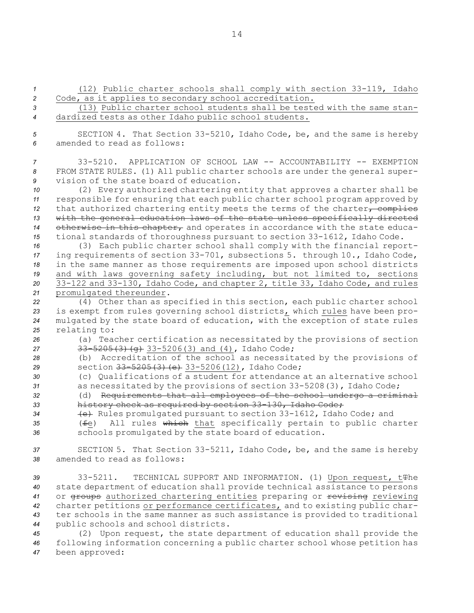(12) Public charter schools shall comply with section 33-119, Idaho Code, as it applies to secondary school accreditation. (13) Public charter school students shall be tested with the same stan- dardized tests as other Idaho public school students. SECTION 4. That Section 33-5210, Idaho Code, be, and the same is hereby amended to read as follows: 33-5210. APPLICATION OF SCHOOL LAW -- ACCOUNTABILITY -- EXEMPTION FROM STATE RULES. (1) All public charter schools are under the general super- vision of the state board of education. (2) Every authorized chartering entity that approves <sup>a</sup> charter shall be responsible for ensuring that each public charter school program approved by 12 that authorized chartering entity meets the terms of the charter, complies with the general education laws of the state unless specifically directed otherwise in this chapter, and operates in accordance with the state educa- tional standards of thoroughness pursuant to section 33-1612, Idaho Code. (3) Each public charter school shall comply with the financial report- ing requirements of section 33-701, subsections 5. through 10., Idaho Code, in the same manner as those requirements are imposed upon school districts and with laws governing safety including, but not limited to, sections 33-122 and 33-130, Idaho Code, and chapter 2, title 33, Idaho Code, and rules promulgated thereunder. (4) Other than as specified in this section, each public charter school is exempt from rules governing school districts, which rules have been pro- mulgated by the state board of education, with the exception of state rules relating to: (a) Teacher certification as necessitated by the provisions of section 27 33-5205(3)(g) 33-5206(3) and (4), Idaho Code; (b) Accreditation of the school as necessitated by the provisions of section 33-5205(3)(e) 33-5206(12), Idaho Code; (c) Qualifications of <sup>a</sup> student for attendance at an alternative school as necessitated by the provisions of section 33-5208(3), Idaho Code; (d) Requirements that all employees of the school undergo <sup>a</sup> criminal history check as required by section 33-130, Idaho Code; (e) Rules promulgated pursuant to section 33-1612, Idaho Code; and (fe) All rules which that specifically pertain to public charter schools promulgated by the state board of education.

*<sup>37</sup>* SECTION 5. That Section 33-5211, Idaho Code, be, and the same is hereby *38* amended to read as follows:

 33-5211. TECHNICAL SUPPORT AND INFORMATION. (1) Upon request, tThe state department of education shall provide technical assistance to persons or groups authorized chartering entities preparing or revising reviewing charter petitions or performance certificates, and to existing public char- ter schools in the same manner as such assistance is provided to traditional public schools and school districts.

*<sup>45</sup>* (2) Upon request, the state department of education shall provide the *<sup>46</sup>* following information concerning <sup>a</sup> public charter school whose petition has *<sup>47</sup>* been approved: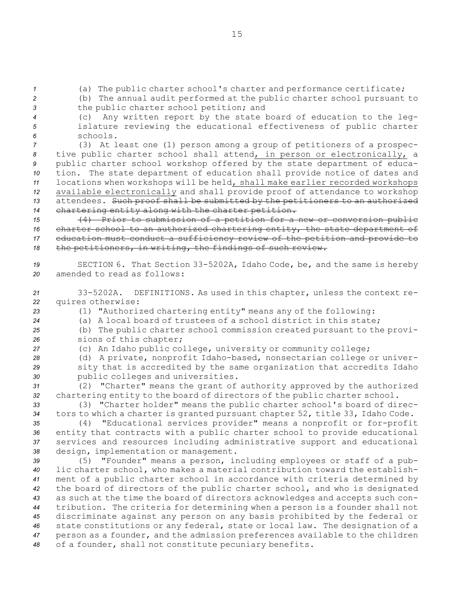*<sup>1</sup>* (a) The public charter school's charter and performance certificate;

*<sup>2</sup>* (b) The annual audit performed at the public charter school pursuant to *<sup>3</sup>* the public charter school petition; and

*<sup>4</sup>* (c) Any written report by the state board of education to the leg-*<sup>5</sup>* islature reviewing the educational effectiveness of public charter *6* schools.

 (3) At least one (1) person among <sup>a</sup> group of petitioners of <sup>a</sup> prospec- tive public charter school shall attend, in person or electronically, <sup>a</sup> public charter school workshop offered by the state department of educa- tion. The state department of education shall provide notice of dates and locations when workshops will be held, shall make earlier recorded workshops available electronically and shall provide proof of attendance to workshop attendees. Such proof shall be submitted by the petitioners to an authorized chartering entity along with the charter petition.

 (4) Prior to submission of <sup>a</sup> petition for <sup>a</sup> new or conversion public charter school to an authorized chartering entity, the state department of education must conduct <sup>a</sup> sufficiency review of the petition and provide to the petitioners, in writing, the findings of such review.

*<sup>19</sup>* SECTION 6. That Section 33-5202A, Idaho Code, be, and the same is hereby *20* amended to read as follows:

*<sup>21</sup>* 33-5202A. DEFINITIONS. As used in this chapter, unless the context re-*<sup>22</sup>* quires otherwise:

*<sup>23</sup>* (1) "Authorized chartering entity" means any of the following:

*<sup>24</sup>* (a) A local board of trustees of <sup>a</sup> school district in this state;

*<sup>25</sup>* (b) The public charter school commission created pursuant to the provi-*<sup>26</sup>* sions of this chapter;

*<sup>27</sup>* (c) An Idaho public college, university or community college;

*<sup>28</sup>* (d) <sup>A</sup> private, nonprofit Idaho-based, nonsectarian college or univer-*<sup>29</sup>* sity that is accredited by the same organization that accredits Idaho *<sup>30</sup>* public colleges and universities.

*<sup>31</sup>* (2) "Charter" means the grant of authority approved by the authorized *<sup>32</sup>* chartering entity to the board of directors of the public charter school.

*<sup>33</sup>* (3) "Charter holder" means the public charter school's board of direc-*<sup>34</sup>* tors to which <sup>a</sup> charter is granted pursuant chapter 52, title 33, Idaho Code.

 (4) "Educational services provider" means <sup>a</sup> nonprofit or for-profit entity that contracts with <sup>a</sup> public charter school to provide educational services and resources including administrative support and educational design, implementation or management.

 (5) "Founder" means <sup>a</sup> person, including employees or staff of <sup>a</sup> pub- lic charter school, who makes <sup>a</sup> material contribution toward the establish- ment of <sup>a</sup> public charter school in accordance with criteria determined by the board of directors of the public charter school, and who is designated as such at the time the board of directors acknowledges and accepts such con- tribution. The criteria for determining when <sup>a</sup> person is <sup>a</sup> founder shall not discriminate against any person on any basis prohibited by the federal or state constitutions or any federal, state or local law. The designation of <sup>a</sup> person as <sup>a</sup> founder, and the admission preferences available to the children of <sup>a</sup> founder, shall not constitute pecuniary benefits.